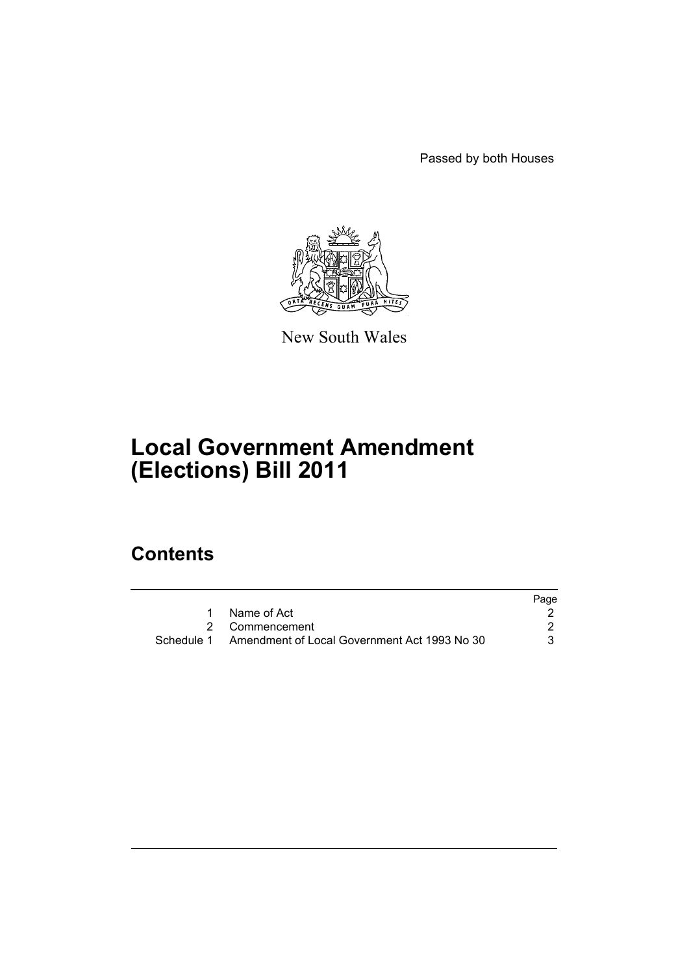Passed by both Houses



New South Wales

# **Local Government Amendment (Elections) Bill 2011**

# **Contents**

|                                                         | Page |
|---------------------------------------------------------|------|
| 1 Name of Act                                           |      |
| 2 Commencement                                          |      |
| Schedule 1 Amendment of Local Government Act 1993 No 30 |      |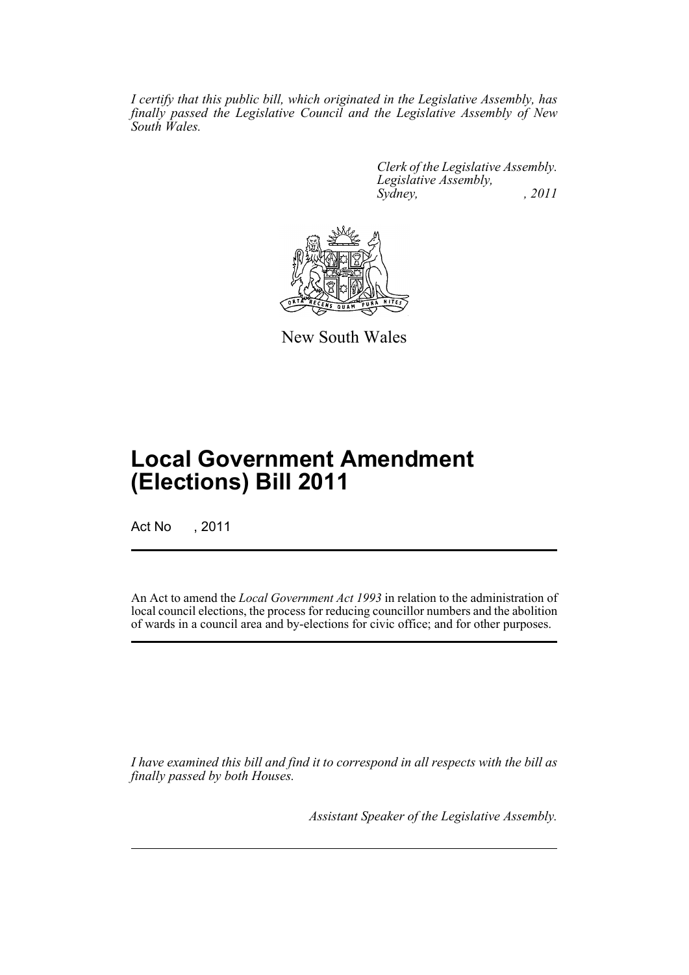*I certify that this public bill, which originated in the Legislative Assembly, has finally passed the Legislative Council and the Legislative Assembly of New South Wales.*

> *Clerk of the Legislative Assembly. Legislative Assembly, Sydney, , 2011*



New South Wales

# **Local Government Amendment (Elections) Bill 2011**

Act No , 2011

An Act to amend the *Local Government Act 1993* in relation to the administration of local council elections, the process for reducing councillor numbers and the abolition of wards in a council area and by-elections for civic office; and for other purposes.

*I have examined this bill and find it to correspond in all respects with the bill as finally passed by both Houses.*

*Assistant Speaker of the Legislative Assembly.*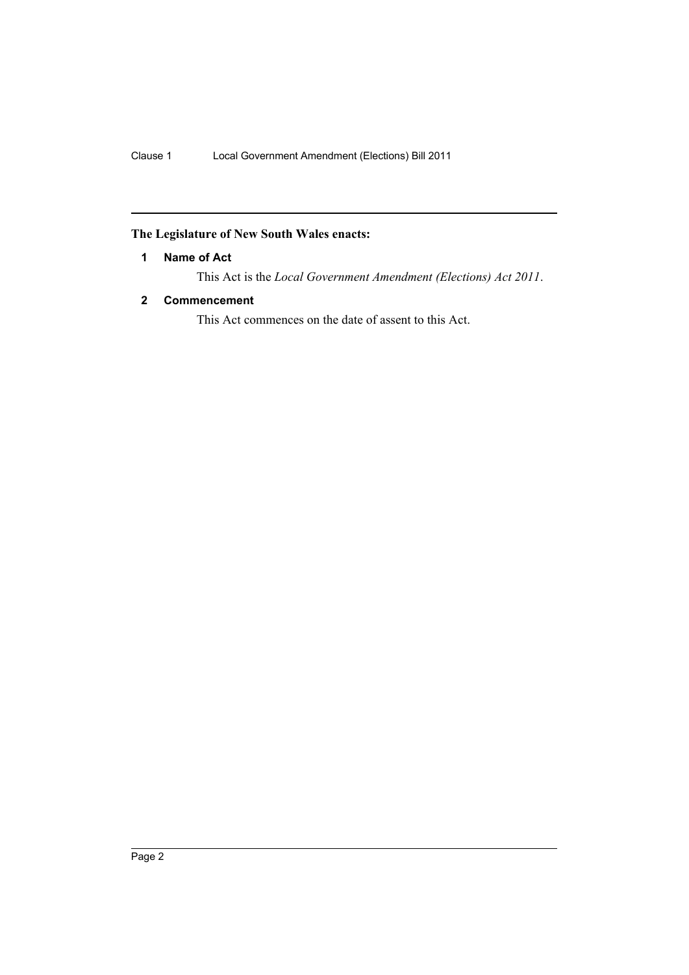## <span id="page-3-0"></span>**The Legislature of New South Wales enacts:**

## **1 Name of Act**

This Act is the *Local Government Amendment (Elections) Act 2011*.

## <span id="page-3-1"></span>**2 Commencement**

This Act commences on the date of assent to this Act.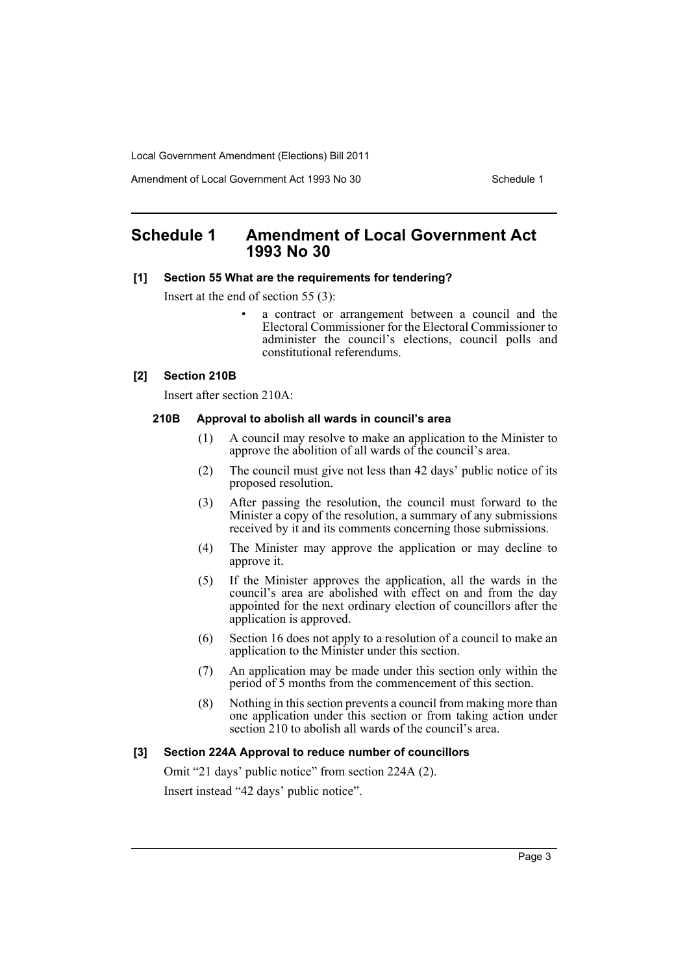Amendment of Local Government Act 1993 No 30 Schedule 1

## <span id="page-4-0"></span>**Schedule 1 Amendment of Local Government Act 1993 No 30**

## **[1] Section 55 What are the requirements for tendering?**

Insert at the end of section 55 (3):

a contract or arrangement between a council and the Electoral Commissioner for the Electoral Commissioner to administer the council's elections, council polls and constitutional referendums.

## **[2] Section 210B**

Insert after section 210A:

### **210B Approval to abolish all wards in council's area**

- (1) A council may resolve to make an application to the Minister to approve the abolition of all wards of the council's area.
- (2) The council must give not less than 42 days' public notice of its proposed resolution.
- (3) After passing the resolution, the council must forward to the Minister a copy of the resolution, a summary of any submissions received by it and its comments concerning those submissions.
- (4) The Minister may approve the application or may decline to approve it.
- (5) If the Minister approves the application, all the wards in the council's area are abolished with effect on and from the day appointed for the next ordinary election of councillors after the application is approved.
- (6) Section 16 does not apply to a resolution of a council to make an application to the Minister under this section.
- (7) An application may be made under this section only within the period of 5 months from the commencement of this section.
- (8) Nothing in this section prevents a council from making more than one application under this section or from taking action under section 210 to abolish all wards of the council's area.

## **[3] Section 224A Approval to reduce number of councillors**

Omit "21 days' public notice" from section 224A (2). Insert instead "42 days' public notice".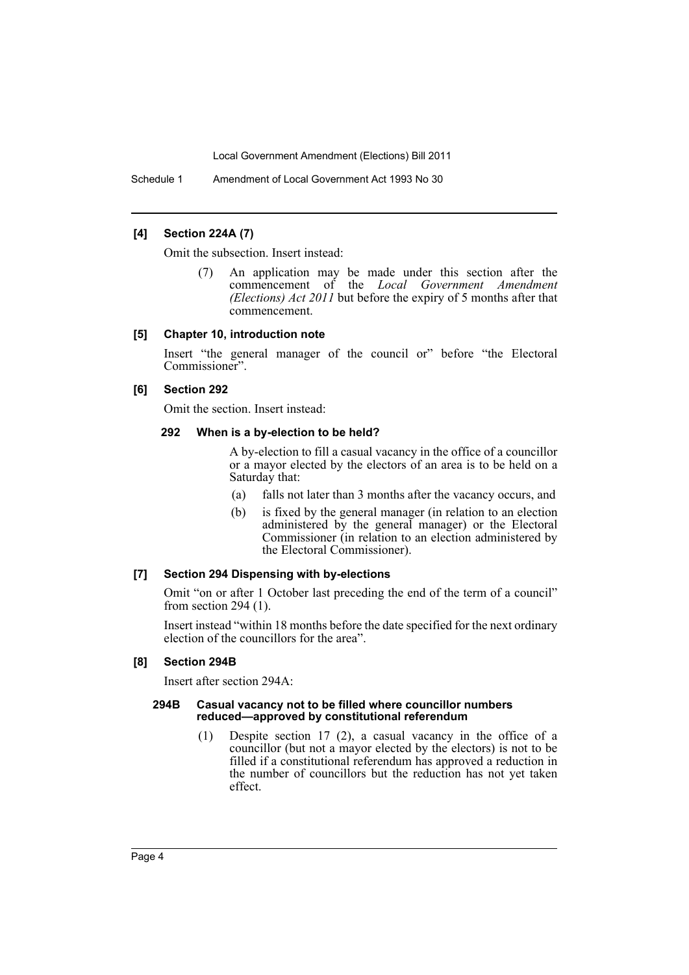Schedule 1 Amendment of Local Government Act 1993 No 30

## **[4] Section 224A (7)**

Omit the subsection. Insert instead:

(7) An application may be made under this section after the commencement of the *Local Government Amendment (Elections) Act 2011* but before the expiry of 5 months after that commencement.

#### **[5] Chapter 10, introduction note**

Insert "the general manager of the council or" before "the Electoral Commissioner".

## **[6] Section 292**

Omit the section. Insert instead:

#### **292 When is a by-election to be held?**

A by-election to fill a casual vacancy in the office of a councillor or a mayor elected by the electors of an area is to be held on a Saturday that:

- (a) falls not later than 3 months after the vacancy occurs, and
- (b) is fixed by the general manager (in relation to an election administered by the general manager) or the Electoral Commissioner (in relation to an election administered by the Electoral Commissioner).

## **[7] Section 294 Dispensing with by-elections**

Omit "on or after 1 October last preceding the end of the term of a council" from section 294 (1).

Insert instead "within 18 months before the date specified for the next ordinary election of the councillors for the area".

## **[8] Section 294B**

Insert after section 294A:

### **294B Casual vacancy not to be filled where councillor numbers reduced—approved by constitutional referendum**

(1) Despite section 17 (2), a casual vacancy in the office of a councillor (but not a mayor elected by the electors) is not to be filled if a constitutional referendum has approved a reduction in the number of councillors but the reduction has not yet taken effect.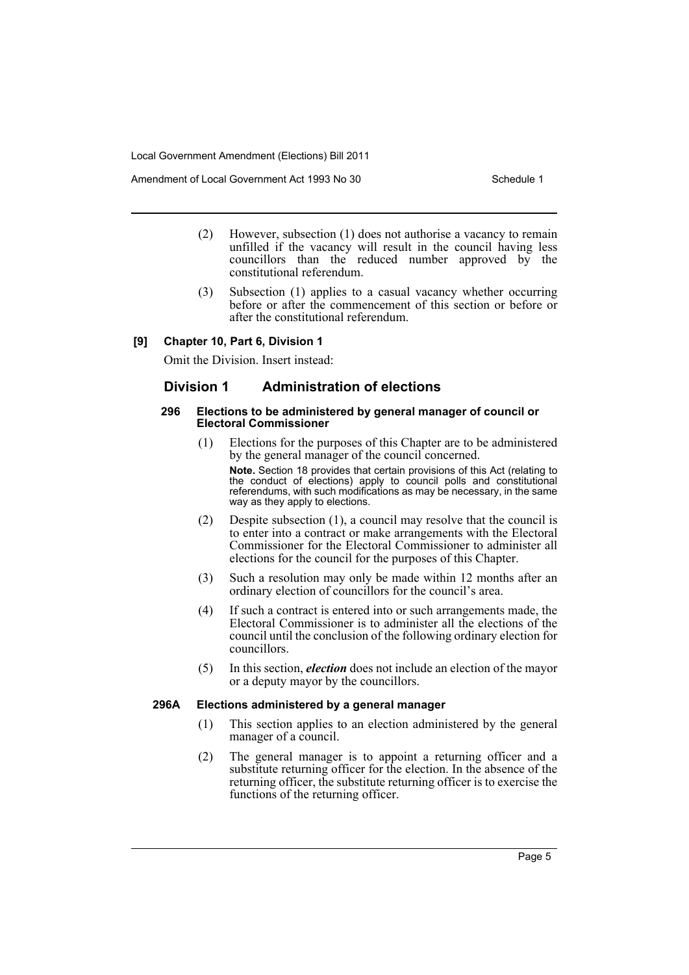Amendment of Local Government Act 1993 No 30 Schedule 1

- (2) However, subsection (1) does not authorise a vacancy to remain unfilled if the vacancy will result in the council having less councillors than the reduced number approved by the constitutional referendum.
- (3) Subsection (1) applies to a casual vacancy whether occurring before or after the commencement of this section or before or after the constitutional referendum.

## **[9] Chapter 10, Part 6, Division 1**

Omit the Division. Insert instead:

## **Division 1 Administration of elections**

#### **296 Elections to be administered by general manager of council or Electoral Commissioner**

- (1) Elections for the purposes of this Chapter are to be administered by the general manager of the council concerned. **Note.** Section 18 provides that certain provisions of this Act (relating to the conduct of elections) apply to council polls and constitutional referendums, with such modifications as may be necessary, in the same way as they apply to elections.
- (2) Despite subsection (1), a council may resolve that the council is to enter into a contract or make arrangements with the Electoral Commissioner for the Electoral Commissioner to administer all elections for the council for the purposes of this Chapter.
- (3) Such a resolution may only be made within 12 months after an ordinary election of councillors for the council's area.
- (4) If such a contract is entered into or such arrangements made, the Electoral Commissioner is to administer all the elections of the council until the conclusion of the following ordinary election for councillors.
- (5) In this section, *election* does not include an election of the mayor or a deputy mayor by the councillors.

## **296A Elections administered by a general manager**

- (1) This section applies to an election administered by the general manager of a council.
- (2) The general manager is to appoint a returning officer and a substitute returning officer for the election. In the absence of the returning officer, the substitute returning officer is to exercise the functions of the returning officer.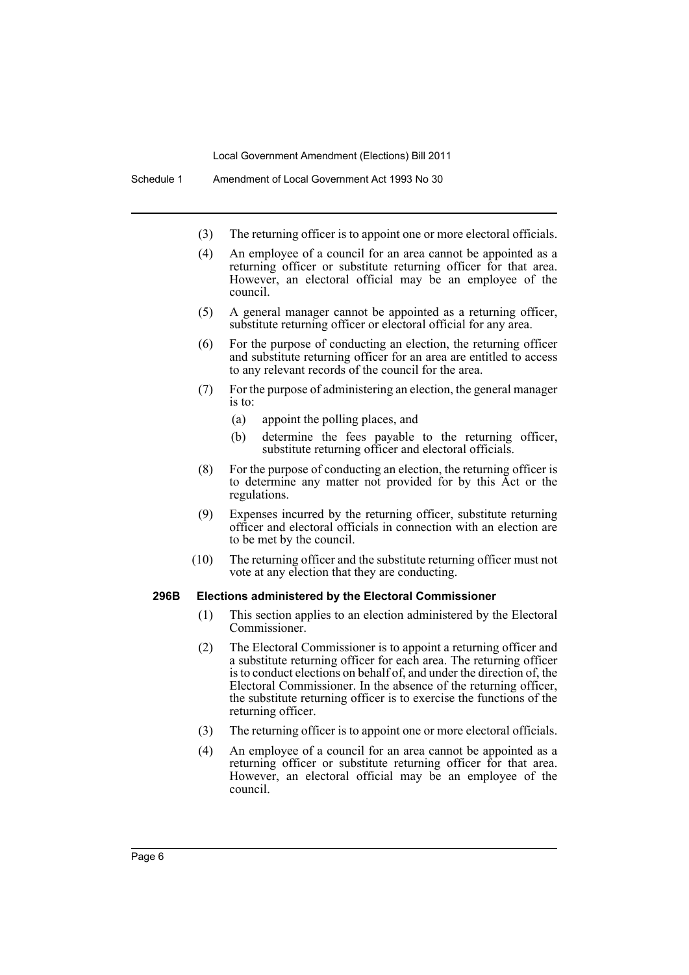- (3) The returning officer is to appoint one or more electoral officials.
- (4) An employee of a council for an area cannot be appointed as a returning officer or substitute returning officer for that area. However, an electoral official may be an employee of the council.
- (5) A general manager cannot be appointed as a returning officer, substitute returning officer or electoral official for any area.
- (6) For the purpose of conducting an election, the returning officer and substitute returning officer for an area are entitled to access to any relevant records of the council for the area.
- (7) For the purpose of administering an election, the general manager is to:
	- (a) appoint the polling places, and
	- (b) determine the fees payable to the returning officer, substitute returning officer and electoral officials.
- (8) For the purpose of conducting an election, the returning officer is to determine any matter not provided for by this Act or the regulations.
- (9) Expenses incurred by the returning officer, substitute returning officer and electoral officials in connection with an election are to be met by the council.
- (10) The returning officer and the substitute returning officer must not vote at any election that they are conducting.

#### **296B Elections administered by the Electoral Commissioner**

- (1) This section applies to an election administered by the Electoral Commissioner.
- (2) The Electoral Commissioner is to appoint a returning officer and a substitute returning officer for each area. The returning officer is to conduct elections on behalf of, and under the direction of, the Electoral Commissioner. In the absence of the returning officer, the substitute returning officer is to exercise the functions of the returning officer.
- (3) The returning officer is to appoint one or more electoral officials.
- (4) An employee of a council for an area cannot be appointed as a returning officer or substitute returning officer for that area. However, an electoral official may be an employee of the council.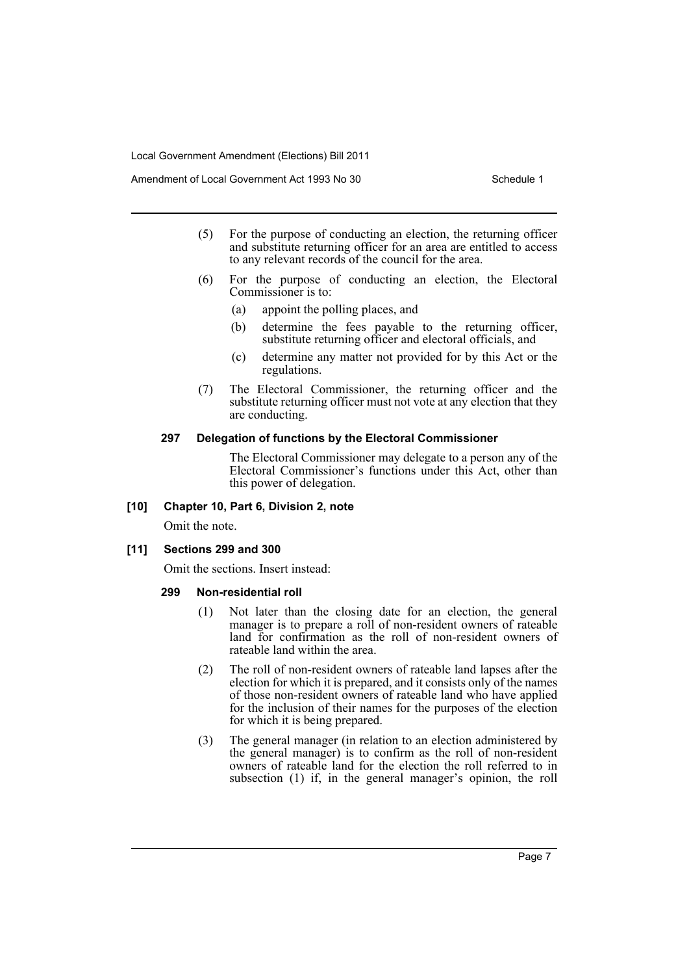Amendment of Local Government Act 1993 No 30 Schedule 1

- (5) For the purpose of conducting an election, the returning officer and substitute returning officer for an area are entitled to access to any relevant records of the council for the area.
- (6) For the purpose of conducting an election, the Electoral Commissioner is to:
	- (a) appoint the polling places, and
	- (b) determine the fees payable to the returning officer, substitute returning officer and electoral officials, and
	- (c) determine any matter not provided for by this Act or the regulations.
- (7) The Electoral Commissioner, the returning officer and the substitute returning officer must not vote at any election that they are conducting.

#### **297 Delegation of functions by the Electoral Commissioner**

The Electoral Commissioner may delegate to a person any of the Electoral Commissioner's functions under this Act, other than this power of delegation.

## **[10] Chapter 10, Part 6, Division 2, note**

Omit the note.

#### **[11] Sections 299 and 300**

Omit the sections. Insert instead:

## **299 Non-residential roll**

- (1) Not later than the closing date for an election, the general manager is to prepare a roll of non-resident owners of rateable land for confirmation as the roll of non-resident owners of rateable land within the area.
- (2) The roll of non-resident owners of rateable land lapses after the election for which it is prepared, and it consists only of the names of those non-resident owners of rateable land who have applied for the inclusion of their names for the purposes of the election for which it is being prepared.
- (3) The general manager (in relation to an election administered by the general manager) is to confirm as the roll of non-resident owners of rateable land for the election the roll referred to in subsection (1) if, in the general manager's opinion, the roll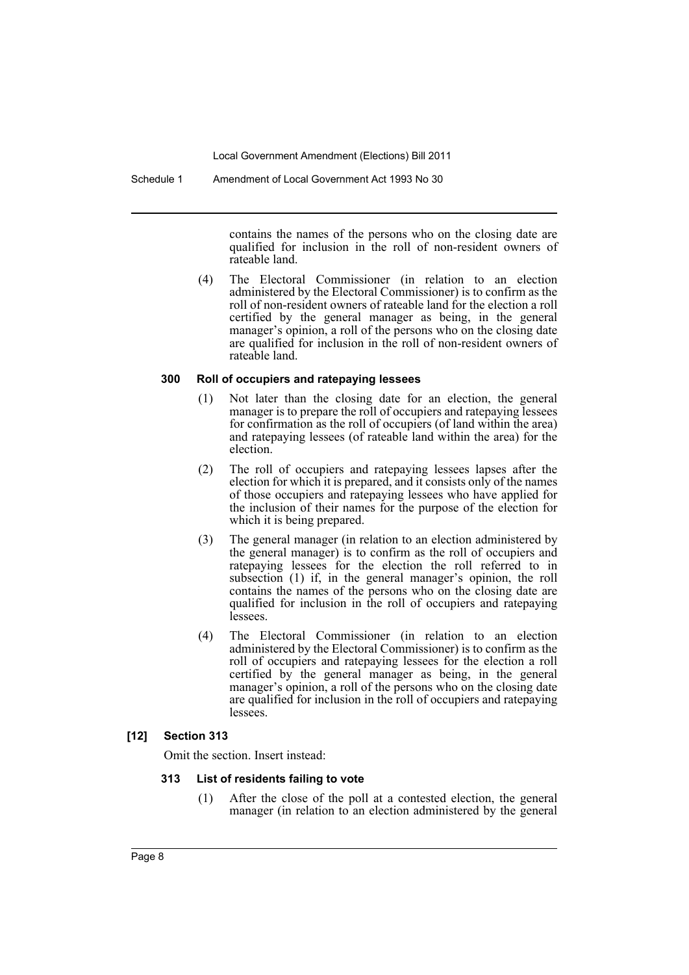Schedule 1 Amendment of Local Government Act 1993 No 30

contains the names of the persons who on the closing date are qualified for inclusion in the roll of non-resident owners of rateable land.

(4) The Electoral Commissioner (in relation to an election administered by the Electoral Commissioner) is to confirm as the roll of non-resident owners of rateable land for the election a roll certified by the general manager as being, in the general manager's opinion, a roll of the persons who on the closing date are qualified for inclusion in the roll of non-resident owners of rateable land.

## **300 Roll of occupiers and ratepaying lessees**

- (1) Not later than the closing date for an election, the general manager is to prepare the roll of occupiers and ratepaying lessees for confirmation as the roll of occupiers (of land within the area) and ratepaying lessees (of rateable land within the area) for the election.
- (2) The roll of occupiers and ratepaying lessees lapses after the election for which it is prepared, and it consists only of the names of those occupiers and ratepaying lessees who have applied for the inclusion of their names for the purpose of the election for which it is being prepared.
- (3) The general manager (in relation to an election administered by the general manager) is to confirm as the roll of occupiers and ratepaying lessees for the election the roll referred to in subsection (1) if, in the general manager's opinion, the roll contains the names of the persons who on the closing date are qualified for inclusion in the roll of occupiers and ratepaying lessees.
- (4) The Electoral Commissioner (in relation to an election administered by the Electoral Commissioner) is to confirm as the roll of occupiers and ratepaying lessees for the election a roll certified by the general manager as being, in the general manager's opinion, a roll of the persons who on the closing date are qualified for inclusion in the roll of occupiers and ratepaying **lessees**

## **[12] Section 313**

Omit the section. Insert instead:

## **313 List of residents failing to vote**

(1) After the close of the poll at a contested election, the general manager (in relation to an election administered by the general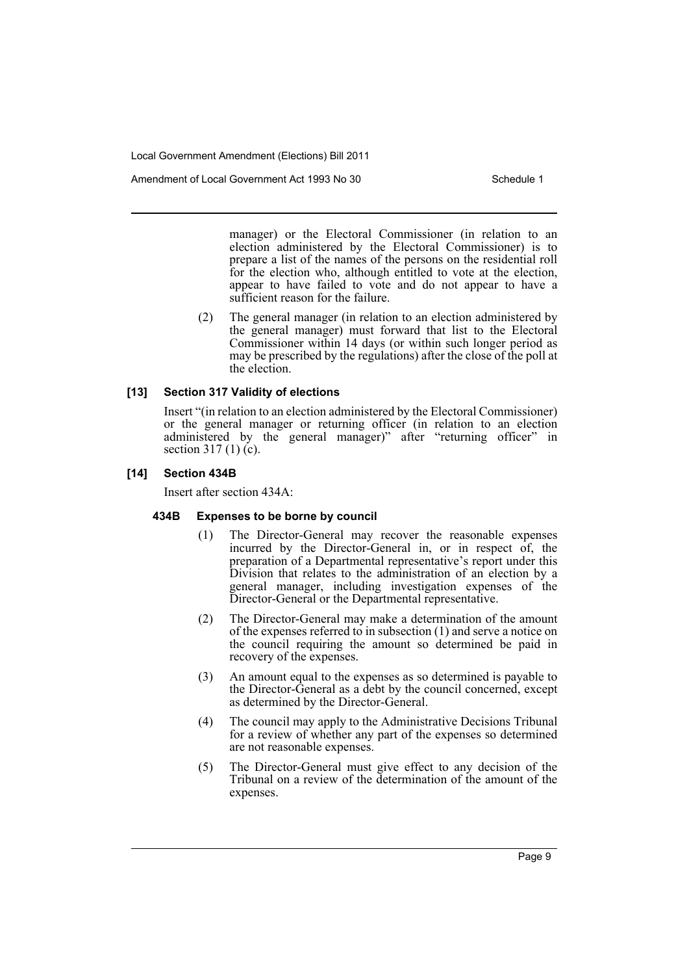Amendment of Local Government Act 1993 No 30 Schedule 1

manager) or the Electoral Commissioner (in relation to an election administered by the Electoral Commissioner) is to prepare a list of the names of the persons on the residential roll for the election who, although entitled to vote at the election, appear to have failed to vote and do not appear to have a sufficient reason for the failure.

(2) The general manager (in relation to an election administered by the general manager) must forward that list to the Electoral Commissioner within 14 days (or within such longer period as may be prescribed by the regulations) after the close of the poll at the election.

## **[13] Section 317 Validity of elections**

Insert "(in relation to an election administered by the Electoral Commissioner) or the general manager or returning officer (in relation to an election administered by the general manager)" after "returning officer" in section 317 (1)  $(c)$ .

## **[14] Section 434B**

Insert after section 434A:

## **434B Expenses to be borne by council**

- (1) The Director-General may recover the reasonable expenses incurred by the Director-General in, or in respect of, the preparation of a Departmental representative's report under this Division that relates to the administration of an election by a general manager, including investigation expenses of the Director-General or the Departmental representative.
- (2) The Director-General may make a determination of the amount of the expenses referred to in subsection (1) and serve a notice on the council requiring the amount so determined be paid in recovery of the expenses.
- (3) An amount equal to the expenses as so determined is payable to the Director-General as a debt by the council concerned, except as determined by the Director-General.
- (4) The council may apply to the Administrative Decisions Tribunal for a review of whether any part of the expenses so determined are not reasonable expenses.
- (5) The Director-General must give effect to any decision of the Tribunal on a review of the determination of the amount of the expenses.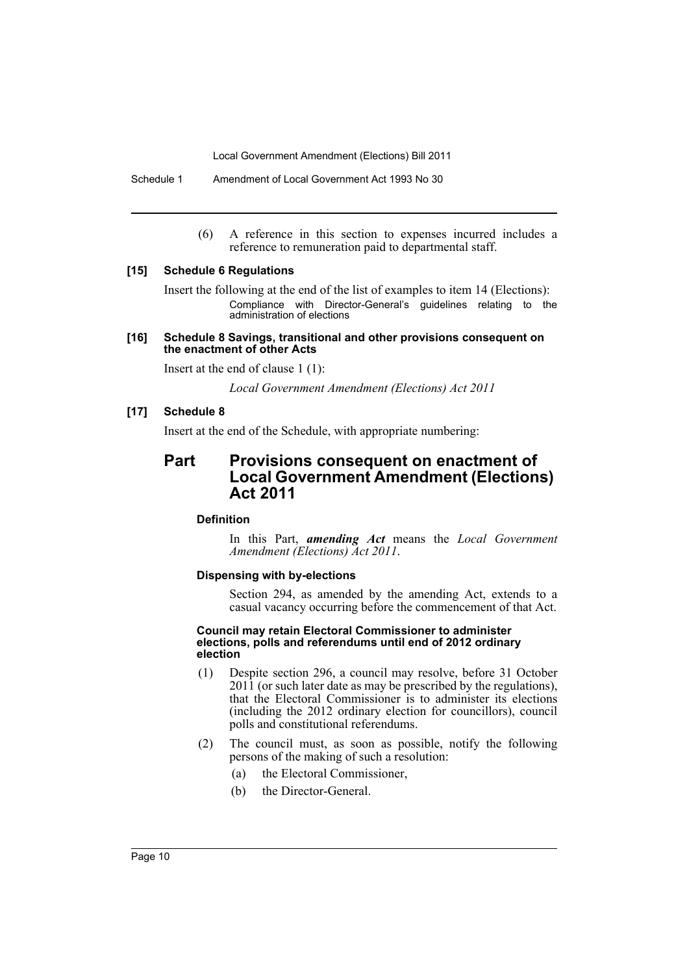Schedule 1 Amendment of Local Government Act 1993 No 30

(6) A reference in this section to expenses incurred includes a reference to remuneration paid to departmental staff.

## **[15] Schedule 6 Regulations**

Insert the following at the end of the list of examples to item 14 (Elections): Compliance with Director-General's guidelines relating to the administration of elections

## **[16] Schedule 8 Savings, transitional and other provisions consequent on the enactment of other Acts**

Insert at the end of clause 1 (1):

*Local Government Amendment (Elections) Act 2011*

## **[17] Schedule 8**

Insert at the end of the Schedule, with appropriate numbering:

## **Part Provisions consequent on enactment of Local Government Amendment (Elections) Act 2011**

## **Definition**

In this Part, *amending Act* means the *Local Government Amendment (Elections) Act 2011*.

## **Dispensing with by-elections**

Section 294, as amended by the amending Act, extends to a casual vacancy occurring before the commencement of that Act.

#### **Council may retain Electoral Commissioner to administer elections, polls and referendums until end of 2012 ordinary election**

- (1) Despite section 296, a council may resolve, before 31 October 2011 (or such later date as may be prescribed by the regulations), that the Electoral Commissioner is to administer its elections (including the 2012 ordinary election for councillors), council polls and constitutional referendums.
- (2) The council must, as soon as possible, notify the following persons of the making of such a resolution:
	- (a) the Electoral Commissioner,
	- (b) the Director-General.